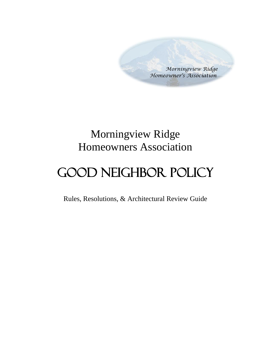*Morningview Ridge Homeowner's Association* 

## Morningview Ridge Homeowners Association

# Good Neighbor Policy

Rules, Resolutions, & Architectural Review Guide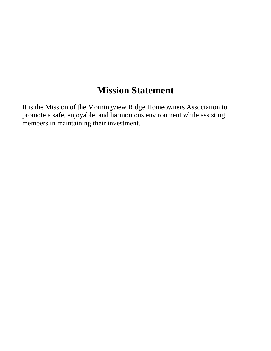## **Mission Statement**

It is the Mission of the Morningview Ridge Homeowners Association to promote a safe, enjoyable, and harmonious environment while assisting members in maintaining their investment.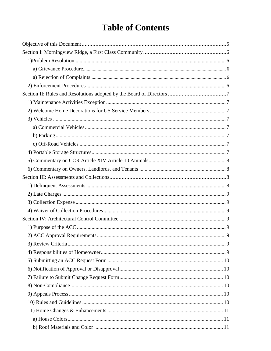## **Table of Contents**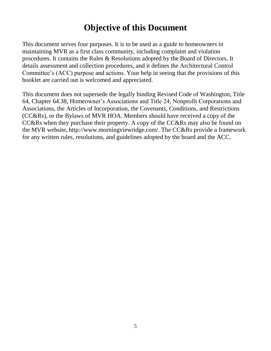## **Objective of this Document**

This document serves four purposes. It is to be used as a guide to homeowners in maintaining MVR as a first class community, including complaint and violation procedures. It contains the Rules & Resolutions adopted by the Board of Directors. It details assessment and collection procedures, and it defines the Architectural Control Committee's (ACC) purpose and actions. Your help in seeing that the provisions of this booklet are carried out is welcomed and appreciated.

This document does not supersede the legally binding Revised Code of Washington, Title 64, Chapter 64.38, Homeowner's Associations and Title 24, Nonprofit Corporations and Associations, the Articles of Incorporation, the Covenants, Conditions, and Restrictions (CC&Rs), or the Bylaws of MVR HOA. Members should have received a copy of the CC&Rs when they purchase their property. A copy of the CC&Rs may also be found on the MVR website, http://www.morningviewridge.com/. The CC&Rs provide a framework for any written rules, resolutions, and guidelines adopted by the board and the ACC.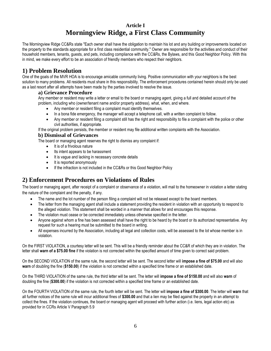## **Article I Morningview Ridge, a First Class Community**

The Morningview Ridge CC&Rs state "Each owner shall have the obligation to maintain his lot and any building or improvements located on the property to the standards appropriate for a first class residential community." Owner are responsible for the activities and conduct of their household members, tenants, guests, and pets, including compliance with the CC&Rs, the Bylaws, and this Good Neighbor Policy. With this in mind, we make every effort to be an association of friendly members who respect their neighbors.

## **1) Problem Resolution**

One of the goals of the MVR HOA is to encourage amicable community living. Positive communication with your neighbors is the best solution to many problems. All residents must share in this responsibility. The enforcement procedures contained herein should only be used as a last resort after all attempts have been made by the parties involved to resolve the issue.

#### **a) Grievance Procedure**

Any member or resident may write a letter or email to the board or managing agent, giving a full and detailed account of the problem, including who (owner/tenant name and/or property address), what, when, and where.

- Any member or resident filing a complaint must identify themselves.
- In a bona fide emergency, the manager will accept a telephone call, with a written complaint to follow.
- Any member or resident filing a complaint still has the right and responsibility to file a complaint with the police or other civil authorities, if appropriate.

If the original problem persists, the member or resident may file additional written complaints with the Association.

#### **b) Dismissal of Grievances**

The board or managing agent reserves the right to dismiss any complaint if:

- It is of a frivolous nature
- Its intent appears to be harassment
- It is vague and lacking in necessary concrete details
- It is reported anonymously
- If the infraction is not included in the CC&Rs or this Good Neighbor Policy

## **2) Enforcement Procedures on Violations of Rules**

The board or managing agent, after receipt of a complaint or observance of a violation, will mail to the homeowner in violation a letter stating the nature of the complaint and the penalty, if any.

- The name and the lot number of the person filing a complaint will not be released except to the board members.
- The letter from the managing agent shall include a statement providing the resident in violation with an opportunity to respond to the alleged violation. This statement shall be worded in a manner that allows for and encourages this response.
- The violation must cease or be corrected immediately unless otherwise specified in the letter.
- Anyone against whom a fine has been assessed shall have the right to be heard by the board or its authorized representative. Any request for such a hearing must be submitted to the board in writing.
- All expenses incurred by the Association, including all legal and collection costs, will be assessed to the lot whose member is in violation.

On the FIRST VIOLATION, a courtesy letter will be sent. This will be a friendly reminder about the CC&R of which they are in violation. The letter shall **warn of a \$75.00 fine** if the violation is not corrected within the specified amount of time given to correct said problem.

On the SECOND VIOLATION of the same rule, the second letter will be sent. The second letter will **impose a fine of \$75.00** and will also **warn** of doubling the fine (**\$150.00**) if the violation is not corrected within a specified time frame or an established date.

On the THIRD VIOLATION of the same rule, the third letter will be sent. The letter will **impose a fine of \$150.00** and will also **warn** of doubling the fine (**\$300.00**) if the violation is not corrected within a specified time frame or an established date.

On the FOURTH VIOLATION of the same rule, the fourth letter will be sent. The letter will **impose a fine of \$300.00**. The letter will **warn** that all further notices of the same rule will incur additional fines of **\$300.00** and that a lien may be filed against the property in an attempt to collect the fines. If the violation continues, the board or managing agent will proceed with further action (i.e. liens, legal action etc) as provided for in CCRs Article V Paragraph 5.9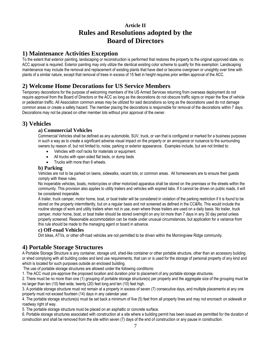## **Article II Rules and Resolutions adopted by the Board of Directors**

#### **1) Maintenance Activities Exception**

To the extent that exterior painting, landscaping or reconstruction is performed that restores the property to the original approved state, no ACC approval is required. Exterior painting may only utilize the identical existing color scheme to qualify for this exemption. Landscaping maintenance may include the removal and replacement of existing plants that have died or become overgrown or unsightly over time with plants of a similar nature, except that removal of trees in excess of 15 feet in height requires prior written approval of the ACC.

## **2) Welcome Home Decorations for US Service Members**

Temporary decorations for the purpose of welcoming members of the US Armed Services returning from overseas deployment do not require approval from the Board of Directors or the ACC so long as the decorations do not obscure traffic signs or impair the flow of vehicle or pedestrian traffic. All Association common areas may be utilized for said decorations so long as the decorations used do not damage common areas or create a safety hazard. The member placing the decorations is responsible for removal of the decorations within 7 days. Decorations may not be placed on other member lots without prior approval of the owner.

## **3) Vehicles**

#### **a) Commercial Vehicles**

Commercial Vehicles shall be defined as any automobile, SUV, truck, or van that is configured or marked for a business purposes in such a way as to create a significant adverse visual impact on the property or an annoyance or nuisance to the surrounding owners by reason of, but not limited to, noise, parking or exterior appearance. Examples include, but are not limited to:

- Vehicles with roof racks for materials or equipment.
- All trucks with open sided flat beds, or dump beds
- Trucks with more than 6 wheels.

#### **b) Parking**

Vehicles are not to be parked on lawns, sidewalks, vacant lots, or common areas. All homeowners are to ensure their guests comply with these rules.

No inoperable vehicles, boats, motorcycles or other motorized apparatus shall be stored on the premises or the streets within the community. This provision also applies to utility trailers and vehicles with expired tabs. If it cannot be driven on public roads, it will be considered inoperable.

A trailer, truck camper, motor home, boat, or boat trailer will be considered in violation of the parking restriction if it is found to be stored on the property intermittently, but on a regular basis and not screened as defined in the CC&Rs. This would include the routine storage of work and utility trailers when not in use, even where those trailers are used on a daily basis. No trailer, truck camper, motor home, boat, or boat trailer should be stored overnight on any lot more than 7 days in any 30 day period unless properly screened. Reasonable accommodation can be made under unusual circumstances, but application for a variance from this rule should be made to the managing agent or board in advance.

#### **c) Off-road Vehicles**

Dirt bikes, ATVs, or other off-road vehicles are not permitted to be driven within the Morningview Ridge community.

## **4) Portable Storage Structures**

A Portable Storage Structure is any container, storage unit, shed-like container or other portable structure, other than an accessory building or shed complying with all building codes and land use requirements, that can or is used for the storage of personal property of any kind and which is located for such purposes outside an enclosed building.

The use of portable storage structures are allowed under the following conditions:

1. The ACC must pre-approve the proposed location and duration prior to placement of any portable storage structures.

2. There must be no more than one (1) grouping of portable storage structure(s) per property and the aggregate size of the grouping must be no larger than ten (10) feet wide, twenty (20) feet long and ten (10) feet high.

3. A portable storage structure must not remain at a property in excess of seven (7) consecutive days, and multiple placements at any one property must not exceed fourteen (14) days in any calendar year.

4. The portable storage structure(s) must be set back a minimum of five (5) feet from all property lines and may not encroach on sidewalk or roadway right of way.

5. The portable storage structure must be placed on an asphaltic or concrete surface.

6. Portable storage structures associated with construction at a site where a building permit has been issued are permitted for the duration of construction and shall be removed from the site within seven (7) days of the end of construction or any pause in construction.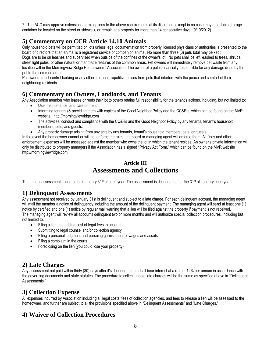7. The ACC may approve extensions or exceptions to the above requirements at its discretion, except in no case may a portable storage container be located on the street or sidewalk, or remain at a property for more than 14 consecutive days. (9/19/2012)

## **5) Commentary on CCR Article 14.10 Animals**

Only household pets will be permitted on lots unless legal documentation from properly licensed physicians or authorities is presented to the board of directors that an animal is a registered service or companion animal. No more than three (3) pets total may be kept. Dogs are to be on leashes and supervised when outside of the confines of the owner's lot. No pets shall be left leashed to trees, shrubs, street light poles, or other natural or manmade features of the common areas. Pet owners will immediately remove pet waste from any location within the Morningview Ridge Homeowners' Association. The owner of a pet is financially responsible for any damage done by the pet to the common areas.

Pet owners must control barking or any other frequent, repetitive noises from pets that interfere with the peace and comfort of their neighboring residents.

#### **6) Commentary on Owners, Landlords, and Tenants**

Any Association member who leases or rents their lot to others retains full responsibility for the tenant's actions, including, but not limited to: Use, maintenance, and care of the lot.

- Informing tenants (& providing them with copies) of the Good Neighbor Policy and the CC&R's, which can be found on the MVR website: [http://morningviewridge.com](http://morningviewridge.com/)
- The activities, conduct and compliance with the CC&Rs and the Good Neighbor Policy by any tenants, tenant's household members, pets, and guests.
- Any property damage arising from any acts by any tenants, tenant's household members, pets, or guests.

In the event the homeowner cannot or will not enforce the rules, the board or managing agent will enforce them. All fines and other enforcement expenses will be assessed against the member who owns the lot in which the tenant resides. An owner's private information will only be distributed to property managers if the Association has a signed "Privacy Act Form," which can be found on the MVR website [http://morningviewridge.com](http://morningviewridge.com/)

## **Article III Assessments and Collections**

The annual assessment is due before January 31<sup>st</sup> of each year. The assessment is delinguent after the 31<sup>st</sup> of January each year.

#### **1) Delinquent Assessments**

Any assessment not received by January 31st is delinquent and subject to a late charge. For each delinquent account, the managing agent will mail the member a notice of delinquency including the amount of the delinquent payment. The managing agent will send at least one (1) notice by certified and one (1) notice by regular mail warning that a lien will be filed against the property if payment is not received. The managing agent will review all accounts delinquent two or more months and will authorize special collection procedures, including but not limited to:

- Filing a lien and adding cost of legal fees to account
- Submitting to legal counsel and/or collection agency
- Filing a personal judgment and pursuing garnishment of wages and assets
- Filing a complaint in the courts
- Foreclosing on the lien (you could lose your property)

## **2) Late Charges**

Any assessment not paid within thirty (30) days after it's delinquent date shall bear interest at a rate of 12% per annum in accordance with the governing documents and state statutes. The procedure to collect unpaid late charges will be the same as specified above in "Delinquent Assessments."

#### **3) Collection Expense**

All expenses incurred by Association including all legal costs, fees of collection agencies, and fees to release a lien will be assessed to the homeowner, and further are subject to all the provisions specified above in "Delinquent Assessments" and "Late Charges."

## **4) Waiver of Collection Procedures**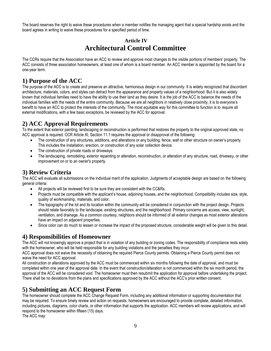The board reserves the right to waive these procedures when a member notifies the managing agent that a special hardship exists and the board agrees in writing to waive these procedures for a specified period of time.

## **Article IV Architectural Control Committee**

The CCRs require that the Association have an ACC to review and approve most changes to the visible portions of members' property. The ACC consists of three association homeowners, at least one of whom is a board member. An ACC member is appointed by the board for a one-year term.

## **1) Purpose of the ACC**

The purpose of the ACC is to create and preserve an attractive, harmonious design in our community. It is widely recognized that discordant architecture, materials, colors, and styles can detract from the appearance and property values of a neighborhood. But it is also widely known that individual families need to have the ability to use their land as they desire. It is the job of the ACC to balance the needs of the individual families with the needs of the entire community. Because we are all neighbors in relatively close proximity, it is to everyone's benefit to have an ACC to protect the interests of the community. The most equitable way for this committee to function is to require all external modifications, with a few basic exceptions, be reviewed by the ACC for approval.

## **2) ACC Approval Requirements**

To the extent that exterior painting, landscaping or reconstruction is performed that restores the property to the original approved state, no ACC approval is required. CCR Article XI, Section 11.1 requires the approval or disapproval of the following:

- The construction of any structures, additions, and alterations or any building, fence, wall or other structure on owner's property. This includes the installation, erection, or construction of any solar collection device.
- The construction of private roads or driveways.
- The landscaping, remodeling, exterior repainting or alteration, reconstruction, or alteration of any structure, road, driveway, or other improvement on or to an owner's property.

## **3) Review Criteria**

The ACC will evaluate all submissions on the individual merit of the application. Judgments of acceptable design are based on the following general criteria:

- All projects will be reviewed first to be sure they are consistent with the CC&Rs.
- Projects must be compatible with the applicant's house, adjoining houses, and the neighborhood. Compatibility includes size, style, quality of workmanship, materials, and color.
- The topography of the lot and its location within the community will be considered in conjunction with the project design. Projects should relate favorably to the landscape, existing structures, and the neighborhood. Primary concerns are access, view, sunlight, ventilation, and drainage. As a common courtesy, neighbors should be informed of all exterior changes as most exterior alterations have an impact on adjacent properties.
- Since color can do much to lessen or increase the impact of the proposed structure, considerable weight will be given to this detail.

## **4) Responsibilities of Homeowner**

The ACC will not knowingly approve a project that is in violation of any building or zoning codes. The responsibility of compliance rests solely with the homeowner, who will be held responsible for any building violations and the penalties they incur.

ACC approval does not waive the necessity of obtaining the required Pierce County permits. Obtaining a Pierce County permit does not waive the need for ACC approval.

All construction or alterations approved by the ACC must be commenced within six months following the date of approval, and must be completed within one year of the approval date. In the event that construction/alteration is not commenced within the six month period, the approval of the ACC will be considered void. The homeowner must then resubmit the application for approval before undertaking the project. There shall be no deviations from the plans and specifications approved by the ACC without the ACC's prior written consent.

## **5) Submitting an ACC Request Form**

The homeowner should complete the ACC Change Request Form, including any additional information or supporting documentation that may be required. To ensure timely review and action on requests, homeowners are encouraged to provide complete, detailed information, including pictures, diagrams, color charts, or other information that supports the application. ACC members will review applications, and will respond to the homeowner within fifteen (15) days.

The ACC may: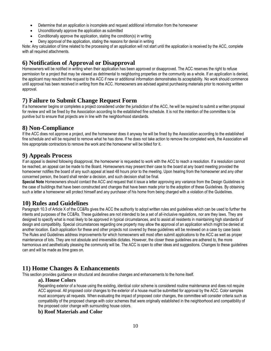- Determine that an application is incomplete and request additional information from the homeowner
- Unconditionally approve the application as submitted
- Conditionally approve the application, stating the condition(s) in writing
- Deny approval of the application, stating the reasons for denial in writing

Note: Any calculation of time related to the processing of an application will not start until the application is received by the ACC, complete with all required attachments.

## **6) Notification of Approval or Disapproval**

Homeowners will be notified in writing when their application has been approved or disapproved. The ACC reserves the right to refuse permission for a project that may be viewed as detrimental to neighboring properties or the community as a whole. If an application is denied, the applicant may resubmit the request to the ACC if new or additional information demonstrates its acceptability. No work should commence until approval has been received in writing from the ACC. Homeowners are advised against purchasing materials prior to receiving written approval.

## **7) Failure to Submit Change Request Form**

If a homeowner begins or completes a project considered under the jurisdiction of the ACC, he will be required to submit a written proposal for review and will be fined by the Association according to the established fine schedule. It is not the intention of the committee to be punitive but to ensure that projects are in line with the neighborhood standards.

#### **8) Non-Compliance**

If the ACC does not approve a project, and the homeowner does it anyway he will be fined by the Association according to the established fine schedule and will be required to remove what he has done. If he does not take action to remove the completed work, the Association will hire appropriate contractors to remove the work and the homeowner will be billed for it.

#### **9) Appeals Process**

If an appeal is desired following disapproval, the homeowner is requested to work with the ACC to reach a resolution. If a resolution cannot be reached, an appeal can be made to the Board. Homeowners may present their case to the board at any board meeting provided the homeowner notifies the board of any such appeal at least 48 hours prior to the meeting. Upon hearing from the homeowner and any other concerned person, the board shall render a decision, and such decision shall be final.

**Special Note** Homeowners should contact the ACC and request that it issue a letter approving any variance from the Design Guidelines in the case of buildings that have been constructed and changes that have been made prior to the adoption of these Guidelines. By obtaining such a letter a homeowner will protect himself and any purchaser of his home from being charged with a violation of the Guidelines.

#### **10) Rules and Guidelines**

Paragraph 10.3 of Article X of the CC&Rs gives the ACC the authority to adopt written rules and guidelines which can be used to further the intents and purposes of the CC&Rs. These guidelines are not intended to be a set of all-inclusive regulations, nor are they laws. They are designed to specify what is most likely to be approved in typical circumstances, and to assist all residents in maintaining high standards of design and compatibility. Special circumstances regarding one property may allow the approval of an application which might be denied at another location. Each application for these and other projects not covered by these guidelines will be reviewed on a case by case basis The Rules and Guidelines address improvements for which homeowners will most often submit applications to the ACC as well as proper maintenance of lots. They are not absolute and irreversible dictates. However, the closer these guidelines are adhered to, the more harmonious and aesthetically pleasing the community will be. The ACC is open to other ideas and suggestions. Changes to these guidelines can and will be made as time goes on.

#### **11) Home Changes & Enhancements**

This section provides guidance on structural and decorative changes and enhancements to the home itself.

#### **a). House Colors**

Repainting exterior of a house using the existing, identical color scheme is considered routine maintenance and does not require ACC approval. All proposed color changes to the exterior of a house must be submitted for approval by the ACC. Color samples must accompany all requests. When evaluating the impact of proposed color changes, the committee will consider criteria such as compatibility of the proposed change with color schemes that were originally established in the neighborhood and compatibility of the proposed color change with surrounding house colors.

#### **b) Roof Materials and Color**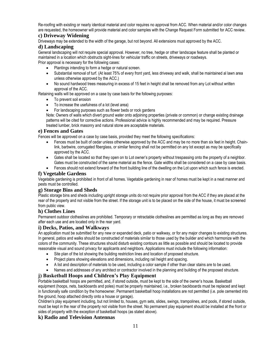Re-roofing with existing or nearly identical material and color requires no approval from ACC. When material and/or color changes are requested, the homeowner will provide material and color samples with the Change Request Form submitted for ACC review.

#### **c) Driveway Widening**

Driveways may be extended to the width of the garage, but not beyond. All extensions must approved by the ACC.

#### **d) Landscaping**

General landscaping will not require special approval. However, no tree, hedge or other landscape feature shall be planted or maintained in a location which obstructs sight-lines for vehicular traffic on streets, driveways or roadways. Prior approval is necessary for the following cases:

- Plantings intending to form a hedge or natural screen.
- Substantial removal of turf. (At least 75% of every front yard, less driveway and walk, shall be maintained al lawn area unless otherwise approved by the ACC.)
- No sound hardwood trees measuring in excess of 15 feet in height shall be removed from any Lot without written approval of the ACC.

Retaining walls will be approved on a case by case basis for the following purposes:

- To prevent soil erosion
- To increase the usefulness of a lot (level area)
- For landscaping purposes such as flower beds or rock gardens

Note: Owners of walls which divert ground water onto adjoining properties (private or common) or change existing drainage patterns will be cited for corrective actions. Professional advice is highly recommended and may be required. Pressure treated lumber, brick masonry and natural stone are acceptable materials.

#### **e) Fences and Gates**

Fences will be approved on a case by case basis, provided they meet the following specifications:

- Fences must be built of cedar unless otherwise approved by the ACC and may be no more than six feet in height. Chainlink, barbwire, corrugated fiberglass, or similar fencing shall not be permitted on any lot except as may be specifically approved by the ACC.
- Gates shall be located so that they open on to Lot owner's property without trespassing onto the property of a neighbor. Gates must be constructed of the same material as the fence. Gate widths shall be considered on a case by case basis.
- Fences should not extend forward of the front building line of the dwelling on the Lot upon which such fence is erected.

#### **f) Vegetable Gardens**

Vegetable gardening is prohibited in front of all homes. Vegetable gardening in rear of homes must be kept in a neat manner and pests must be controlled.

#### **g) Storage Bins and Sheds**

Plastic storage bins and sheds including upright storage units do not require prior approval from the ACC if they are placed at the rear of the property and not visible from the street. If the storage unit is to be placed on the side of the house, it must be screened from public view.

#### **h) Clothes Lines**

Permanent outdoor clotheslines are prohibited. Temporary or retractable clotheslines are permitted as long as they are removed after each use and are located only in the rear yard.

#### **i) Decks, Patios, and Walkways**

An application must be submitted for any new or expanded deck, patio or walkway, or for any major changes to existing structures. In general, patios and walks should be constructed of materials similar to those used by the builder and which harmonize with the colors of the community. These structures should disturb existing contours as little as possible and should be located to provide reasonable visual and sound privacy for applicants and neighbors. Applications must include the following information:

- Site plan of the lot showing the building restriction lines and location of proposed structure.
- Project plans showing elevations and dimensions, including rail height and spacing.
- A list and description of materials to be used, including a color sample if other than clear stains are to be used.
- Names and addresses of any architect or contractor involved in the planning and building of the proposed structure.

#### **j) Basketball Hoops and Children's Play Equipment**

Portable basketball hoops are permitted, and, if stored outside, must be kept to the side of the owner's house. Basketball equipment (hoops, nets, backboards and poles) must be properly maintained, i.e., broken backboards must be replaced and kept in functionally safe condition by the homeowner. Permanent basketball hoop installations are not permitted (i.e. pole cemented into the ground, hoop attached directly onto a house or garage).

Children's play equipment including, but not limited to, houses, gym sets, slides, swings, trampolines, and pools, if stored outside, must be kept in the rear of the property not visible from the street. No permanent play equipment should be installed at the front or sides of property with the exception of basketball hoops (as stated above).

#### **k) Radio and Television Antennas**